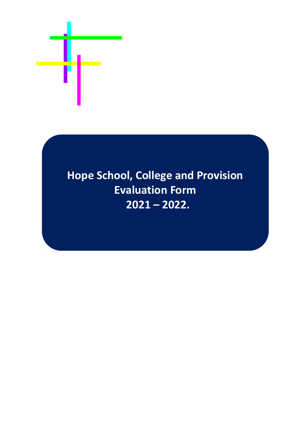

# **Hope School, College and Provision Evaluation Form 2021 – 2022.**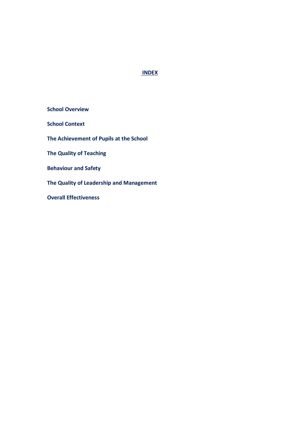# **INDEX**

 **School Overview School Context The Achievement of Pupils at the School The Quality of Teaching Behaviour and Safety The Quality of Leadership and Management Overall Effectiveness**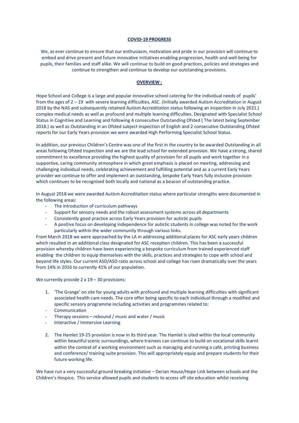# **COVID-19 PROGRESS** .

We, as ever continue to ensure that our enthusiasm, motivation and pride in our provision will continue to embed and drive present and future innovative initiatives enabling progression, health and well-being for pupils, their families and staff alike. We will continue to build on good practices, policies and strategies and continue to strengthen and continue to develop our outstanding provisions.

#### **OVERVIEW :**

Hope School and College is a large and popular innovative school catering for the individual needs of pupils' from the ages of 2 – 19 with severe learning difficulties, ASC. (Initially awarded Autism Accreditation in August 2018 by the NAS and subsequently retained Autism Accreditation status following an inspection in July 2021.) complex medical needs as well as profound and multiple learning difficulties. Designated with Specialist School Status in Cognitive and Learning and following 4 consecutive Outstanding Ofsted ( The latest being September 2018.) as well as Outstanding in an Ofsted subject inspection of English and 2 consecutive Outstanding Ofsted reports for our Early Years provision we were awarded High Performing Specialist School Status.

In addition, our previous Children's Centre was one of the first in the country to be awarded Outstanding in all areas following Ofsted Inspection and we are the lead school for extended provision. We have a strong, shared commitment to excellence providing the highest quality of provision for all pupils and work together in a supportive, caring community atmosphere in which great emphasis is placed on meeting, addressing and challenging individual needs, celebrating achievement and fulfilling potential and as a current Early Years provider we continue to offer and implement an outstanding, bespoke Early Years fully inclusive provision which continues to be recognised both locally and national as a beacon of outstanding practice.

In August 2018 we were awarded Autism Accreditation status where particular strengths were documented in the following areas:

- The introduction of curriculum pathways
- Support for sensory needs and the robust assessment systems across all departments
- Consistently good practice across Early Years provision for autistic pupils
- A positive focus on developing independence for autistic students in college was noted for the work particularly within the wider community through various links.

From March 2018 we were approached by the LA in addressing additional places for ASC early years children which resulted in an additional class designated for ASC reception children. This has been a successful provision whereby children have been experiencing a bespoke curriculum from trained experienced staff enabling the children to equip themselves with the skills, practices and strategies to cope with school and beyond life styles. Our current ASD/ASD ratio across school and college has risen dramatically over the years from 14% in 2016 to currently 41% of our population.

#### We currently provide 2 x 19 - 30 provisions:

- 1. 'The Grange' on site for young adults with profound and multiple learning difficulties with significant associated health care needs. The core offer being specific to each individual through a modified and specific sensory programme including activities and programmes related to:
- **Communication**
- Therapy sessions rebound / music and water / music
- Interactive / Immersive Learning
- 2. The Hamlet 19-25 provision is now in its third year. The Hamlet is sited within the local community within beautiful scenic surroundings, where trainees can continue to build on vocational skills learnt within the context of a working environment such as managing and running a café, printing business and conference/ training suite provision. This will appropriately equip and prepare students for their future working life.

We have run a very successful ground breaking initiative – Derian House/Hope Link between schools and the Children's Hospice. This service allowed pupils and students to access off site education whilst receiving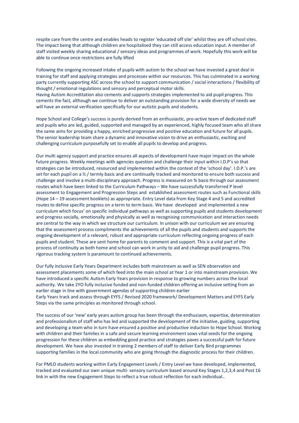respite care from the centre and enables heads to register 'educated off site' whilst they are off school sites. The impact being that although children are hospitalised they can still access education input. A member of staff visited weekly sharing educational / sensory ideas and programmes of work. Hopefully this work will be able to continue once restrictions are fully lifted

Following the ongoing increased intake of pupils with autism to the school we have invested a great deal in training for staff and applying strategies and processes within our resources. This has culminated in a working party currently supporting ASC across the school to support communication / social interactions / flexibility of thought / emotional regulations and sensory and perceptual motor skills. Having Autism Accreditation also cements and supports strategies implemented to aid pupil progress. This cements the fact, although we continue to deliver an outstanding provision for a wide diversity of needs we will have an external verification specifically for our autistic pupils and students.

Hope School and College's success is purely derived from an enthusiastic, pro-active team of dedicated staff and pupils who are led, guided, supported and managed by an experienced, highly focused team who all share the same aims for providing a happy, enriched progressive and positive education and future for all pupils. The senior leadership team share a dynamic and innovative vision to drive an enthusiastic, exciting and challenging curriculum purposefully set to enable all pupils to develop and progress.

Our multi agency support and practice ensures all aspects of development have major impact on the whole future progress. Weekly meetings with agencies question and challenge their input within I.D.P's so that strategies can be introduced, resourced and implemented within the context of the 'school day'. I.D.P.'s are set for each pupil on a ½ / termly basis and are continually tracked and monitored to ensure both success and challenge and involve a multi-disciplinary approach. Progress is measured on % basis through our assessment routes which have been linked to the Curriculum Pathways – We have successfully transferred P level assessment to Engagement and Progression Steps and established assessment routes such as Functional skills (Hope 14 – 19 assessment booklets) as appropriate. Entry Level data from Key Stage 4 and 5 and accredited routes to define specific progress on a term to term basis. We have developed and implemented a new curriculum which focus' on specific individual pathways as well as supporting pupils and students development and progress socially, emotionally and physically as well as recognising communication and interaction needs are central to the way in which we structure our curriculum. In unison with our curriculum we are ensuring that the assessment process compliments the achievements of all the pupils and students and supports the ongoing development of a relevant, robust and appropriate curriculum reflecting ongoing progress of each pupils and student. These are sent home for parents to comment and support. This is a vital part of the process of continuity as both home and school can work in unity to aid and challenge pupil progress. This rigorous tracking system is paramount to continued achievements.

Our fully inclusive Early Years Department includes both mainstream as well as SEN observation and assessment placements some of which feed into the main school at Year 1 or into mainstream provision. We have introduced a specific Autism Early Years provision in response to growing numbers across the local authority. We take 2YO fully inclusive funded and non-funded children offering an inclusive setting from an earlier stage in line with government agendas of supporting children earlier Early Years track and assess through EYFS / Revised 2020 framework/ Development Matters and EYFS Early Steps via the same principles as monitored through school.

The success of our 'new' early years autism group has been through the enthusiasm, expertise, determination and professionalism of staff who has led and supported the development of the initiative, guiding, supporting and developing a team who in turn have ensured a positive and productive induction to Hope School. Working with children and their families in a safe and secure learning environment sows vital seeds for the ongoing progression for these children as embedding good practice and strategies paves a successful path for future development. We have also invested in training 2 members of staff to deliver Early Bird programmes supporting families in the local community who are going through the diagnostic process for their children.

For PMLD students working within Early Engagement Levels / Entry Level we have developed, implemented, tracked and evaluated our own unique multi- sensory curriculum based around Key Stages 1,2,3,4 and Post 16 link in with the new Engagement Steps to reflect a true robust reflection for each individual..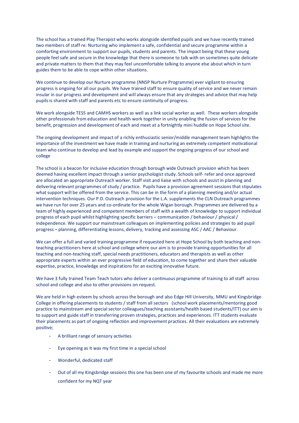The school has a trained Play Therapist who works alongside identified pupils and we have recently trained two members of staff re: Nurturing who implement a safe, confidential and secure programme within a comforting environment to support our pupils, students and parents. The impact being that these young people feel safe and secure in the knowledge that there is someone to talk with on sometimes quite delicate and private matters to them that they may feel uncomfortable talking to anyone else about which in turn guides them to be able to cope within other situations.

We continue to develop our Nurture programme (NNSP Nurture Programme) ever vigilant to ensuring progress is ongoing for all our pupils. We have trained staff to ensure quality of service and we never remain insular in our progress and development and will always ensure that any strategies and advice that may help pupils is shared with staff and parents etc to ensure continuity of progress.

We work alongside TESS and CAMHS workers as well as a link social worker as well. These workers alongside other professionals from education and health work together in unity enabling the fusion of services for the benefit, progression and development of each and meet at a fortnightly mini huddle on Hope School site.

The ongoing development and impact of a richly enthusiastic senior/middle management team highlights the importance of the investment we have made in training and nurturing an extremely competent motivational team who continue to develop and lead by example and support the ongoing progress of our school and college

The school is a beacon for inclusive education through borough wide Outreach provision which has been deemed having excellent impact through a senior psychologist study. Schools self- refer and once approved are allocated an appropriate Outreach worker. Staff visit and liaise with schools and assist in planning and delivering relevant programmes of study / practice. Pupils have a provision agreement sessions that stipulates what support will be offered from the service. This can be in the form of a planning meeting and/or actual intervention techniques. Our P.D. Outreach provision for the L.A. supplements the CLN Outreach programmes we have run for over 25 years and co-ordinate for the whole Wigan borough. Programmes are delivered by a team of highly experienced and competent members of staff with a wealth of knowledge to support individual progress of each pupil whilst highlighting specific barriers – communication / behaviour / physical / independence. We support our mainstream colleagues on implementing policies and strategies to aid pupil progress – planning, differentiating lessons, delivery, tracking and assessing ASC / AAC / Behaviour.

We can offer a full and varied training programme if requested here at Hope School by both teaching and nonteaching practitioners here at school and college where our aim is to provide training opportunities for all teaching and non-teaching staff, special needs practitioners, educators and therapists as well as other appropriate experts within an ever progressive field of education, to come together and share their valuable expertise, practice, knowledge and inspirations for an exciting innovative future.

We have 3 fully trained Team Teach tutors who deliver a continuous programme of training to all staff across school and college and also to other provisions on request.

We are held in high esteem by schools across the borough and also Edge Hill University, MMU and Kingsbridge College in offering placements to students / staff from all sectors (school work placements/mentoring good practice to mainstream and special sector colleagues/teaching assistants/health based students/ITT) our aim is to support and guide staff in transferring proven strategies, practices and experiences. ITT students evaluate their placements as part of ongoing reflection and improvement practices. All their evaluations are extremely positive;

- A brilliant range of sensory activities
- Eye opening as it was my first time in a special school
- Wonderful, dedicated staff
- Out of all my Kingsbridge sessions this one has been one of my favourite schools and made me more confident for my NQT year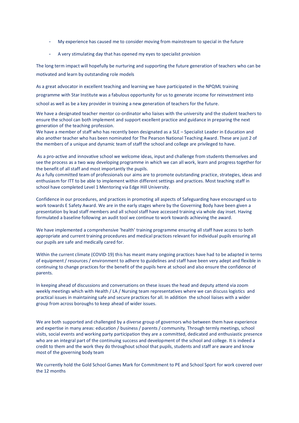- My experience has caused me to consider moving from mainstream to special in the future
- A very stimulating day that has opened my eyes to specialist provision

The long term impact will hopefully be nurturing and supporting the future generation of teachers who can be motivated and learn by outstanding role models

As a great advocator in excellent teaching and learning we have participated in the NPQML training programme with Star Institute was a fabulous opportunity for us to generate income for reinvestment into school as well as be a key provider in training a new generation of teachers for the future.

We have a designated teacher mentor co-ordinator who liaises with the university and the student teachers to ensure the school can both implement and support excellent practice and guidance in preparing the next generation of the teaching profession.

We have a member of staff who has recently been designated as a SLE – Specialist Leader in Education and also another teacher who has been nominated for The Pearson National Teaching Award. These are just 2 of the members of a unique and dynamic team of staff the school and college are privileged to have.

As a pro-active and innovative school we welcome ideas, input and challenge from students themselves and see the process as a two way developing programme in which we can all work, learn and progress together for the benefit of all staff and most importantly the pupils.

As a fully committed team of professionals our aims are to promote outstanding practice, strategies, ideas and enthusiasm for ITT to be able to implement within different settings and practices. Most teaching staff in school have completed Level 1 Mentoring via Edge Hill University.

Confidence in our procedures, and practices in promoting all aspects of Safeguarding have encouraged us to work towards E Safety Award. We are in the early stages where by the Governing Body have been given a presentation by lead staff members and all school staff have accessed training via whole day inset. Having formulated a baseline following an audit tool we continue to work towards achieving the award.

We have implemented a comprehensive 'health' training programme ensuring all staff have access to both appropriate and current training procedures and medical practices relevant for individual pupils ensuring all our pupils are safe and medically cared for.

Within the current climate (COVID-19) this has meant many ongoing practices have had to be adapted in terms of equipment / resources / environment to adhere to guidelines and staff have been very adept and flexible in continuing to change practices for the benefit of the pupils here at school and also ensure the confidence of parents.

In keeping ahead of discussions and conversations on these issues the head and deputy attend via zoom weekly meetings which with Health / LA / Nursing team representatives where we can discuss logistics and practical issues in maintaining safe and secure practices for all. In addition the school liaises with a wider group from across boroughs to keep ahead of wider issues.

We are both supported and challenged by a diverse group of governors who between them have experience and expertise in many areas: education / business / parents / community. Through termly meetings, school visits, social events and working party participation they are a committed, dedicated and enthusiastic presence who are an integral part of the continuing success and development of the school and college. It is indeed a credit to them and the work they do throughout school that pupils, students and staff are aware and know most of the governing body team

We currently hold the Gold School Games Mark for Commitment to PE and School Sport for work covered over the 12 months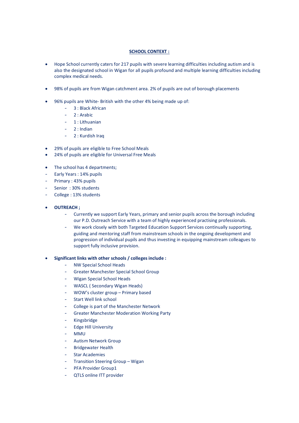# **SCHOOL CONTEXT :**

- Hope School currently caters for 217 pupils with severe learning difficulties including autism and is also the designated school in Wigan for all pupils profound and multiple learning difficulties including complex medical needs.
- 98% of pupils are from Wigan catchment area. 2% of pupils are out of borough placements
- 96% pupils are White- British with the other 4% being made up of:
	- 3 : Black African
	- 2 : Arabic
	- 1 : Lithuanian
	- 2 : Indian
	- 2 : Kurdish Iraq
- 29% of pupils are eligible to Free School Meals
- 24% of pupils are eligible for Universal Free Meals
- The school has 4 departments;
- Early Years: 14% pupils
- Primary : 43% pupils
- Senior: 30% students
- College: 13% students

# • **OUTREACH ;**

- Currently we support Early Years, primary and senior pupils across the borough including our P.D. Outreach Service with a team of highly experienced practising professionals.
- We work closely with both Targeted Education Support Services continually supporting, guiding and mentoring staff from mainstream schools in the ongoing development and progression of individual pupils and thus investing in equipping mainstream colleagues to support fully inclusive provision.
- **Significant links with other schools / colleges include :**
	- NW Special School Heads
	- Greater Manchester Special School Group
	- Wigan Special School Heads
	- WASCL ( Secondary Wigan Heads)
	- WOW's cluster group Primary based
	- Start Well link school
	- College is part of the Manchester Network
	- Greater Manchester Moderation Working Party
	- Kingsbridge
	- Edge Hill University
	- MMU
	- Autism Network Group
	- **Bridgewater Health**
	- Star Academies
	- Transition Steering Group Wigan
	- PFA Provider Group1
	- QTLS online ITT provider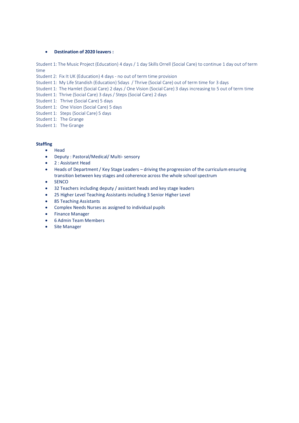# • **Destination of 2020 leavers :**

Student 1: The Music Project (Education) 4 days / 1 day Skills Orrell (Social Care) to continue 1 day out of term time

Student 2: Fix It UK (Education) 4 days - no out of term time provision

- Student 1: My Life Standish (Education) 5days / Thrive (Social Care) out of term time for 3 days
- Student 1: The Hamlet (Social Care) 2 days / One Vision (Social Care) 3 days increasing to 5 out of term time
- Student 1: Thrive (Social Care) 3 days / Steps (Social Care) 2 days
- Student 1: Thrive (Social Care) 5 days
- Student 1: One Vision (Social Care) 5 days
- Student 1: Steps (Social Care) 5 days
- Student 1: The Grange
- Student 1: The Grange

# **Staffing**

- Head
- Deputy : Pastoral/Medical/ Multi- sensory
- 2 : Assistant Head
- Heads of Department / Key Stage Leaders driving the progression of the curriculum ensuring transition between key stages and coherence across the whole school spectrum
- SENCO
- 32 Teachers including deputy / assistant heads and key stage leaders
- 25 Higher Level Teaching Assistants including 3 Senior Higher Level
- 85 Teaching Assistants
- Complex Needs Nurses as assigned to individual pupils
- Finance Manager
- 6 Admin Team Members
- Site Manager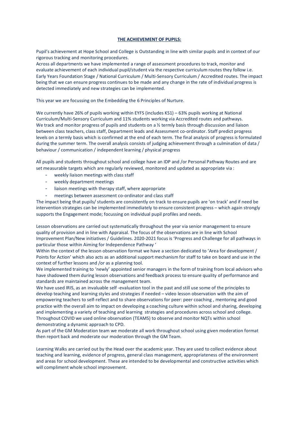#### **THE ACHIEVEMENT OF PUPILS:**

Pupil's achievement at Hope School and College is Outstanding in line with similar pupils and in context of our rigorous tracking and monitoring procedures.

Across all departments we have implemented a range of assessment procedures to track, monitor and evaluate achievement of each individual pupil/student via the respective curriculum routes they follow i.e. Early Years Foundation Stage / National Curriculum / Multi-Sensory Curriculum / Accredited routes. The impact being that we can ensure progress continues to be made and any change in the rate of individual progress is detected immediately and new strategies can be implemented.

This year we are focussing on the Embedding the 6 Principles of Nurture.

We currently have 26% of pupils working within EYFS (includes KS1) – 63% pupils working at National Curriculum/Multi-Sensory Curriculum and 11% students working via Accredited routes and pathways. We track and monitor progress of pupils and students on a % termly basis through discussion and liaison between class teachers, class staff, Department leads and Assessment co-ordinator. Staff predict progress levels on a termly basis which is confirmed at the end of each term. The final analysis of progress is formulated during the summer term. The overall analysis consists of judging achievement through a culmination of data / behaviour / communication / independent learning / physical progress

All pupils and students throughout school and college have an IDP and /or Personal Pathway Routes and are set measurable targets which are regularly reviewed, monitored and updated as appropriate via :

- weekly liaison meetings with class staff
- weekly department meetings
- liaison meetings with therapy staff, where appropriate
- meetings between assessment co-ordinator and class staff

The impact being that pupils/ students are consistently on track to ensure pupils are 'on track' and if need be intervention strategies can be implemented immediately to ensure consistent progress – which again strongly supports the Engagement mode; focussing on individual pupil profiles and needs.

Lesson observations are carried out systematically throughout the year via senior management to ensure quality of provision and in line with Appraisal. The focus of the observations are in line with School Improvement Plan/New initiatives / Guidelines. 2020-2021 focus is 'Progress and Challenge for all pathways in particular those within Aiming for Independence Pathway '

Within the context of the lesson observation format we have a section dedicated to 'Area for development / Points for Action' which also acts as an additional support mechanism for staff to take on board and use in the context of further lessons and /or as a planning tool.

We implemented training to 'newly' appointed senior managers in the form of training from local advisors who have shadowed them during lesson observations and feedback process to ensure quality of performance and standards are maintained across the management team.

We have used IRIS, as an invaluable self -evaluation tool in the past and still use some of the principles to develop teaching and learning styles and strategies if needed – video lesson observation with the aim of empowering teachers to self-reflect and to share observations for peer: peer coaching , mentoring and good practice with the overall aim to impact on developing a coaching culture within school and sharing, developing and implementing a variety of teaching and learning strategies and procedures across school and college. Throughout COVID we used online observation (TEAMS) to observe and monitor NQTs within school demonstrating a dynamic approach to CPD.

As part of the GM Moderation team we moderate all work throughout school using given moderation format then report back and moderate our moderation through the GM Team.

Learning Walks are carried out by the Head over the academic year. They are used to collect evidence about teaching and learning, evidence of progress, general class management, appropriateness of the environment and areas for school development. These are intended to be developmental and constructive activities which will compliment whole school improvement.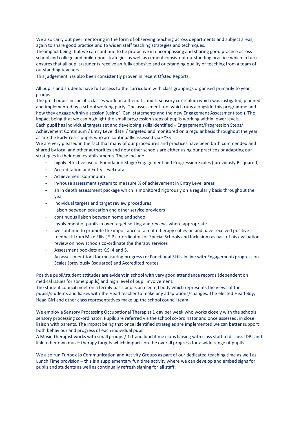We also carry out peer mentoring in the form of observing teaching across departments and subject areas, again to share good practice and to widen staff teaching strategies and techniques.

The impact being that we can continue to be pro-active in encompassing and sharing good practice across school and college and build upon strategies as well as cement consistent outstanding practice which in turn ensures that all pupils/students receive an fully cohesive and outstanding quality of teaching from a team of outstanding teachers.

This judgement has also been consistently proven in recent Ofsted Reports.

All pupils and students have full access to the curriculum with class groupings organised primarily to year groups.

The pmld pupils in specific classes work on a thematic multi-sensory curriculum which was instigated, planned and implemented by a school working party. The assessment tool which runs alongside this programme and how they engage within a session (using 'I Can' statements and the new Engagement Assessment tool). The impact being that we can highlight the small progression steps of pupils working within lower levels. Each pupil has individual targets set and developing skills identified – Engagement/Progression Steps/ Achievement Continuum / Entry Level data / targeted and monitored on a regular basis throughout the year as are the Early Years pupils who are continually assessed via EYFS

We are very pleased in the fact that many of our procedures and practices have been both commended and shared by local and other authorities and now other schools are either using our practices or adapting our strategies in their own establishments. These include :

- highly effective use of Foundation Stage/Engagement and Progression Scales (previously B squared)
- Accreditation and Entry Level data
- Achievement Continuum
- in-house assessment system to measure % of achievement in Entry Level areas
- an in depth assessment package which is monitored rigorously on a regularly basis throughout the year
- individual targets and target review procedures
- liaison between education and other service providers
- continuous liaison between home and school
- involvement of pupils in own target setting and reviews where appropriate
- we continue to promote the importance of a multi therapy cohesion and have received positive feedback from Mike Ellis ( SIP co-ordinator for Special Schools and Inclusion) as part of his evaluation review on how schools co-ordinate the therapy services
- Assessment booklets at K.S. 4 and 5.
- An assessment tool for measuring progress re: Functional Skills in line with Engagement/progression Scales (previously Bsquared) and Accredited routes

Positive pupil/student attitudes are evident in school with very good attendance records (dependent on medical issues for some pupils) and high level of pupil involvement.

The student council meet on a termly basis and is an elected body which represents the views of the pupils/students and liaises with the Head teacher to make any adaptations/changes. The elected Head Boy, Head Girl and other class representatives make up the school council team.

We employ a Sensory Processing Occupational Therapist 1 day per week who works closely with the schools sensory processing co-ordinator. Pupils are referred via the school co-ordinator and once assessed, in close liaison with parents. The impact being that once identified strategies are implemented we can better support both behaviour and progress of each individual pupil.

A Music Therapist works with small groups / 1:1 and lunchtime clubs liaising with class staff to discuss IDPs and link to her own music therapy targets which impacts on the overall progress for a wide range of pupils.

We also run Funbox Jo Communication and Activity Groups as part of our dedicated teaching time as well as Lunch Time provision – this is a supplementary fun time activity where we can develop and embed signs for pupils and students as well as continually refresh signing for all staff.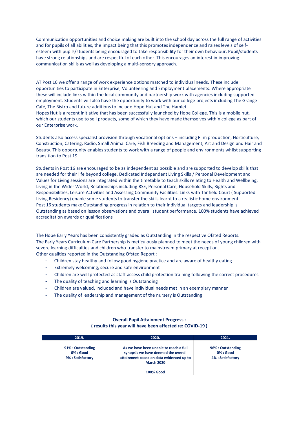Communication opportunities and choice making are built into the school day across the full range of activities and for pupils of all abilities, the impact being that this promotes independence and raises levels of selfesteem with pupils/students being encouraged to take responsibility for their own behaviour. Pupil/students have strong relationships and are respectful of each other. This encourages an interest in improving communication skills as well as developing a multi-sensory approach.

AT Post 16 we offer a range of work experience options matched to individual needs. These include opportunities to participate in Enterprise, Volunteering and Employment placements. Where appropriate these will include links within the local community and partnership work with agencies including supported employment. Students will also have the opportunity to work with our college projects including The Grange Café, The Bistro and future additions to include Hope Hut and The Hamlet.

Hopes Hut is a recent initiative that has been successfully launched by Hope College. This is a mobile hut, which our students use to sell products, some of which they have made themselves within college as part of our Enterprise work.

Students also access specialist provision through vocational options – including Film production, Horticulture, Construction, Catering, Radio, Small Animal Care, Fish Breeding and Management, Art and Design and Hair and Beauty. This opportunity enables students to work with a range of people and environments whilst supporting transition to Post 19.

Students in Post 16 are encouraged to be as independent as possible and are supported to develop skills that are needed for their life beyond college. Dedicated Independent Living Skills / Personal Development and Values for Living sessions are integrated within the timetable to teach skills relating to Health and Wellbeing, Living in the Wider World, Relationships including RSE, Personal Care, Household Skills, Rights and Responsibilities, Leisure Activities and Assessing Community Facilities. Links with Tanfield Court ( Supported Living Residency) enable some students to transfer the skills learnt to a realistic home environment. Post 16 students make Outstanding progress in relation to their individual targets and leadership is Outstanding as based on lesson observations and overall student performance. 100% students have achieved accreditation awards or qualifications

The Hope Early Years has been consistently graded as Outstanding in the respective Ofsted Reports. The Early Years Curriculum Care Partnership is meticulously planned to meet the needs of young children with severe learning difficulties and children who transfer to mainstream primary at reception. Other qualities reported in the Outstanding Ofsted Report :

- Children stay healthy and follow good hygiene practice and are aware of healthy eating
- Extremely welcoming, secure and safe environment
- Children are well protected as staff access child protection training following the correct procedures
- The quality of teaching and learning is Outstanding
- Children are valued, included and have individual needs met in an exemplary manner
- The quality of leadership and management of the nursery is Outstanding

### **Overall Pupil Attainment Progress :**

**( results this year will have been affected re: COVID-19 )**

| 2019.                                               | 2020.                                                                                                                                          | 2021.                                                  |
|-----------------------------------------------------|------------------------------------------------------------------------------------------------------------------------------------------------|--------------------------------------------------------|
| 91% : Outstanding<br>0% : Good<br>9% : Satisfactory | As we have been unable to reach a full<br>synopsis we have deemed the overall<br>attainment based on data evidenced up to<br><b>March 2020</b> | 96% : Outstanding<br>$0\%$ : Good<br>4% : Satisfactory |
|                                                     | <b>100% Good</b>                                                                                                                               |                                                        |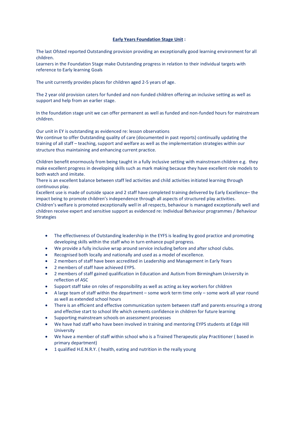#### **Early Years Foundation Stage Unit :**

The last Ofsted reported Outstanding provision providing an exceptionally good learning environment for all children.

Learners in the Foundation Stage make Outstanding progress in relation to their individual targets with reference to Early learning Goals

The unit currently provides places for children aged 2-5 years of age.

The 2 year old provision caters for funded and non-funded children offering an inclusive setting as well as support and help from an earlier stage.

In the foundation stage unit we can offer permanent as well as funded and non-funded hours for mainstream children.

Our unit in EY is outstanding as evidenced re: lesson observations

We continue to offer Outstanding quality of care (documented in past reports) continually updating the training of all staff – teaching, support and welfare as well as the implementation strategies within our structure thus maintaining and enhancing current practice.

Children benefit enormously from being taught in a fully inclusive setting with mainstream children e.g. they make excellent progress in developing skills such as mark making because they have excellent role models to both watch and imitate.

There is an excellent balance between staff led activities and child activities initiated learning through continuous play.

Excellent use is made of outside space and 2 staff have completed training delivered by Early Excellence– the impact being to promote children's independence through all aspects of structured play activities.

Children's welfare is promoted exceptionally well in all respects, behaviour is managed exceptionally well and children receive expert and sensitive support as evidenced re: Individual Behaviour programmes / Behaviour Strategies

- The effectiveness of Outstanding leadership in the EYFS is leading by good practice and promoting developing skills within the staff who in turn enhance pupil progress.
- We provide a fully inclusive wrap around service including before and after school clubs.
- Recognised both locally and nationally and used as a model of excellence.
- 2 members of staff have been accredited in Leadership and Management in Early Years
- 2 members of staff have achieved EYPS.
- 2 members of staff gained qualification in Education and Autism from Birmingham University in reflection of ASC
- Support staff take on roles of responsibility as well as acting as key workers for children
- A large team of staff within the department some work term time only some work all year round as well as extended school hours
- There is an efficient and effective communication system between staff and parents ensuring a strong and effective start to school life which cements confidence in children for future learning
- Supporting mainstream schools on assessment processes
- We have had staff who have been involved in training and mentoring EYPS students at Edge Hill University
- We have a member of staff within school who is a Trained Therapeutic play Practitioner ( based in primary department)
- 1 qualified H.E.N.R.Y. ( health, eating and nutrition in the really young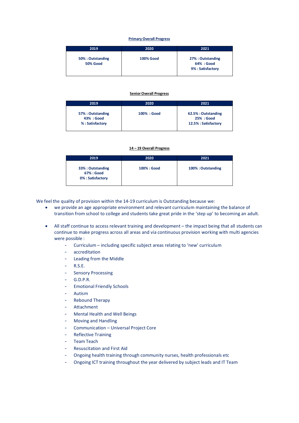#### **Primary Overall Progress**

| 2019                                 | 2020             | 2021                                                 |
|--------------------------------------|------------------|------------------------------------------------------|
| 50% : Outstanding<br><b>50% Good</b> | <b>100% Good</b> | 27% : Outstanding<br>64% : Good<br>9% : Satisfactory |

#### **Senior Overall Progress**

| 2019                                               | 2020        | 2021                                                      |
|----------------------------------------------------|-------------|-----------------------------------------------------------|
| 57% : Outstanding<br>43% : Good<br>%: Satisfactory | 100% : Good | 62.5% : Outstanding<br>25% : Good<br>12.5% : Satisfactory |

**14 – 19 Overall Progress** 

| 2019                                                | 2020        | 2021              |
|-----------------------------------------------------|-------------|-------------------|
| 33% : Outstanding<br>67% : Good<br>0%: Satisfactory | 100% : Good | 100%: Outstanding |

We feel the quality of provision within the 14-19 curriculum is Outstanding because we:

- we provide an age appropriate environment and relevant curriculum maintaining the balance of transition from school to college and students take great pride in the 'step up' to becoming an adult.
- All staff continue to access relevant training and development the impact being that all students can continue to make progress across all areas and via continuous provision working with multi agencies were possible :
	- Curriculum including specific subject areas relating to 'new' curriculum
	- accreditation
	- Leading from the Middle
	- R.S.E.
	- **Sensory Processing**
	- G.D.P.R.
	- Emotional Friendly Schools
	- **Autism**
	- Rebound Therapy
	- **Attachment**
	- Mental Health and Well Beings
	- Moving and Handling
	- Communication Universal Project Core
	- Reflective Training
	- Team Teach
	- Resuscitation and First Aid
	- Ongoing health training through community nurses, health professionals etc
	- Ongoing ICT training throughout the year delivered by subject leads and IT Team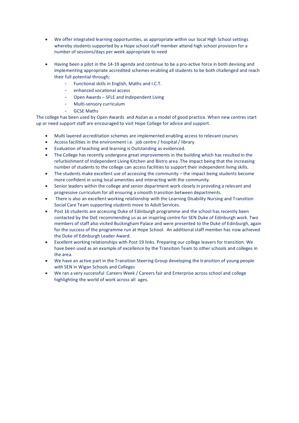- We offer integrated learning opportunities, as appropriate within our local High School settings whereby students supported by a Hope school staff member attend high school provision for a number of sessions/days per week appropriate to need
- Having been a pilot in the 14-19 agenda and continue to be a pro-active force in both devising and implementing appropriate accredited schemes enabling all students to be both challenged and reach their full potential through;
	- Functional skills in English, Maths and I.C.T.
	- enhanced vocational access
	- Open Awards SFLE and Independent Living
	- Multi-sensory curriculum
	- **GCSE Maths**

The college has been used by Open Awards and Asdan as a model of good practice. When new centres start up or need support staff are encouraged to visit Hope College for advice and support.

- Multi layered accreditation schemes are implemented enabling access to relevant courses
- Access facilities in the environment i.e. job centre / hospital / library
- Evaluation of teaching and learning is Outstanding as evidenced.
- The College has recently undergone great improvements in the building which has resulted in the refurbishment of Independent Living Kitchen and Bistro area .The impact being that the increasing number of students to the college can access facilities to support their independent living skills.
- The students make excellent use of accessing the community the impact being students become more confident in using local amenities and interacting with the community.
- Senior leaders within the college and senior department work closely in providing a relevant and progressive curriculum for all ensuring a smooth transition between departments.
- There is also an excellent working relationship with the Learning Disability Nursing and Transition Social Care Team supporting students move to Adult Services.
- Post 16 students are accessing Duke of Edinburgh programme and the school has recently been contacted by the DoE recommending us as an inspiring centre for SEN Duke of Edinburgh work. Two members of staff also visited Buckingham Palace and were presented to the Duke of Edinburgh, again for the success of the programme run at Hope School. An additional staff member has now achieved the Duke of Edinburgh Leader Award.
- Excellent working relationships with Post 19 links. Preparing our college leavers for transition. We have been used as an example of excellence by the Transition Team to other schools and colleges in the area.
- We have an active part in the Transition Steering Group developing the transition of young people with SEN in Wigan Schools and Colleges
- We ran a very successful Careers Week / Careers fair and Enterprise across school and college highlighting the world of work across all ages.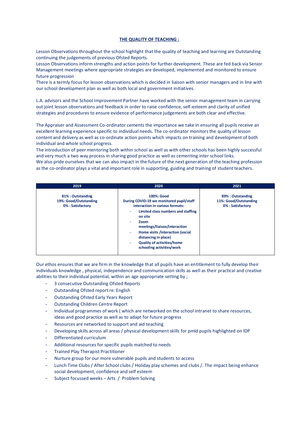#### **THE QUALITY OF TEACHING :**

Lesson Observations throughout the school highlight that the quality of teaching and learning are Outstanding continuing the judgements of previous Ofsted Reports.

Lesson Observations inform strengths and action points for further development. These are fed back via Senior Management meetings where appropriate strategies are developed, implemented and monitored to ensure future progression

There is a termly focus for lesson observations which is decided in liaison with senior managers and in line with our school development plan as well as both local and government initiatives.

L.A. advisors and the School Improvement Partner have worked with the senior management team in carrying out joint lesson observations and feedback in order to raise confidence, self-esteem and clarity of unified strategies and procedures to ensure evidence of performance judgements are both clear and effective.

The Appraiser and Assessment Co-ordinator cements the importance we take in ensuring all pupils receive an excellent learning experience specific to individual needs. The co-ordinator monitors the quality of lesson content and delivery as well as co-ordinate action points which impacts on training and development of both individual and whole school progress.

The introduction of peer mentoring both within school as well as with other schools has been highly successful and very much a two way process in sharing good practice as well as cementing inter school links. We also pride ourselves that we can also impact in the future of the next generation of the teaching profession as the co-ordinator plays a vital and important role in supporting, guiding and training of student teachers.

| 2019                                                           | 2020                                                                                                                                                                                                                                                                                                                                        | 2021                                                           |
|----------------------------------------------------------------|---------------------------------------------------------------------------------------------------------------------------------------------------------------------------------------------------------------------------------------------------------------------------------------------------------------------------------------------|----------------------------------------------------------------|
| 81% : Outstanding<br>19%: Good/Outstanding<br>0%: Satisfactory | 100%: Good<br>During COVID-19 we monitored pupil/staff<br>interaction in various formats:<br>Limited class numbers and staffing<br>٠<br>on site<br><b>Zoom</b><br>٠<br>meetings/liaison/interaction<br>Home visits /interaction (social<br>۰<br>distancing in place)<br><b>Quality of activities/home</b><br>۰<br>schooling activities/work | 89% : Outstanding<br>11%: Good/Outstanding<br>0%: Satisfactory |

Our ethos ensures that we are firm in the knowledge that all pupils have an entitlement to fully develop their individuals knowledge , physical, independence and communication skills as well as their practical and creative abilities to their individual potential, within an age appropriate setting by ;

- 3 consecutive Outstanding Ofsted Reports
- Outstanding Ofsted report re: English
- Outstanding Ofsted Early Years Report
- Outstanding Children Centre Report
- Individual programmes of work ( which are networked on the school intranet to share resources, ideas and good practice as well as to adapt for future progress
- Resources are networked to support and aid teaching
- Developing skills across all areas / physical development skills for pmld pupils highlighted on IDP
- Differentiated curriculum
- Additional resources for specific pupils matched to needs
- Trained Play Therapist Practitioner
- Nurture group for our more vulnerable pupils and students to access
- Lunch Time Clubs / After School clubs / Holiday play schemes and clubs /. The impact being enhance social development, confidence and self esteem
- Subject focussed weeks Arts / Problem Solving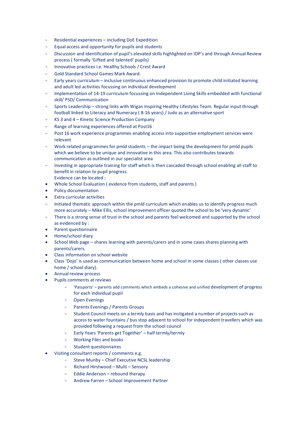- Residential experiences including DoE Expedition
- Equal access and opportunity for pupils and students
- Discussion and identification of pupil's elevated skills highlighted on IDP's and through Annual Review process ( formally 'Gifted and talented' pupils)
- Innovative practices i.e. Healthy Schools / Crest Award
- Gold Standard School Games Mark Award.
- Early years curriculum inclusive continuous enhanced provision to promote child initiated learning and adult led activities focussing on individual development
- Implementation of 14-19 curriculum focussing on Independent Living Skills embedded with functional skill/ PSD/ Communication
- Sports Leadership strong links with Wigan Inspiring Healthy Lifestyles Team. Regular input through football linked to Literacy and Numeracy ( 8-16 years) / Judo as an alternative sport
- KS 3 and 4 Kinetic Science Production Company
- Range of learning experiences offered at Post16
- Post 16 work experience programmes enabling access into supportive employment services were relevant
- Work related programmes for pmld students the impact being the development for pmld pupils which we believe to be unique and innovative in this area. This also contributes towards communication as outlined in our specialist area
- Investing in appropriate training for staff which is then cascaded through school enabling all staff to benefit in relation to pupil progress. Evidence can be located ;
- Whole School Evaluation ( evidence from students, staff and parents )
- Policy documentation
- Extra curricular activities
- Initiated thematic approach within the pmld curriculum which enables us to identify progress much more accurately – Mike Ellis, school improvement officer quoted the school to be 'very dynamic'
- There is a strong sense of trust in the school and parents feel welcomed and supported by the school as evidenced by :
- Parent questionnaire
- Home/school diary
- School Web page shares learning with parents/carers and in some cases shares planning with parents/carers.
- Class information on school website
- Class 'Dojo' is used as communication between home and school in some classes ( other classes use home / school diary).
- Annual review process
- Pupils comments at reviews
	- 'Passports' parents add comments which embeds a cohesive and unified development of progress for each individual pupil
	- Open Evenings
	- Parents Evenings / Parents Groups
	- Student Council meets on a termly basis and has instigated a number of projects such as access to water fountains / bus stop adjacent to school for independent travellers which was provided following a request from the school council
	- Early Years 'Parents get Together' half termly/termly
	- Working Files and books
	- Student questionnaires
- Visiting consultant reports / comments e.g.
	- Steve Munby Chief Executive NCSL leadership
	- Richard Hirstwood Multi Sensory
	- Eddie Anderson rebound therapy
	- Andrew Farren School Improvement Partner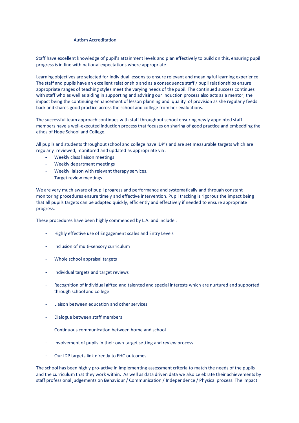- Autism Accreditation

Staff have excellent knowledge of pupil's attainment levels and plan effectively to build on this, ensuring pupil progress is in line with national expectations where appropriate.

Learning objectives are selected for individual lessons to ensure relevant and meaningful learning experience. The staff and pupils have an excellent relationship and as a consequence staff / pupil relationships ensure appropriate ranges of teaching styles meet the varying needs of the pupil. The continued success continues with staff who as well as aiding in supporting and advising our induction process also acts as a mentor, the impact being the continuing enhancement of lesson planning and quality of provision as she regularly feeds back and shares good practice across the school and college from her evaluations.

The successful team approach continues with staff throughout school ensuring newly appointed staff members have a well-executed induction process that focuses on sharing of good practice and embedding the ethos of Hope School and College.

All pupils and students throughout school and college have IDP's and are set measurable targets which are regularly reviewed, monitored and updated as appropriate via :

- Weekly class liaison meetings
- Weekly department meetings
- Weekly liaison with relevant therapy services.
- Target review meetings

We are very much aware of pupil progress and performance and systematically and through constant monitoring procedures ensure timely and effective intervention. Pupil tracking is rigorous the impact being that all pupils targets can be adapted quickly, efficiently and effectively if needed to ensure appropriate progress.

These procedures have been highly commended by L.A. and include :

- Highly effective use of Engagement scales and Entry Levels
- Inclusion of multi-sensory curriculum
- Whole school appraisal targets
- Individual targets and target reviews
- Recognition of individual gifted and talented and special interests which are nurtured and supported through school and college
- Liaison between education and other services
- Dialogue between staff members
- Continuous communication between home and school
- Involvement of pupils in their own target setting and review process.
- Our IDP targets link directly to EHC outcomes

The school has been highly pro-active in implementing assessment criteria to match the needs of the pupils and the curriculum that they work within. As well as data driven data we also celebrate their achievements by staff professional judgements on **B**ehaviour / Communication / Independence / Physical process. The impact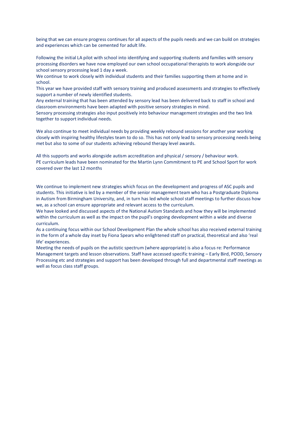being that we can ensure progress continues for all aspects of the pupils needs and we can build on strategies and experiences which can be cemented for adult life.

Following the initial LA pilot with school into identifying and supporting students and families with sensory processing disorders we have now employed our own school occupational therapists to work alongside our school sensory processing lead 1 day a week.

We continue to work closely with individual students and their families supporting them at home and in school.

This year we have provided staff with sensory training and produced assessments and strategies to effectively support a number of newly identified students.

Any external training that has been attended by sensory lead has been delivered back to staff in school and classroom environments have been adapted with positive sensory strategies in mind.

Sensory processing strategies also input positively into behaviour management strategies and the two link together to support individual needs.

We also continue to meet individual needs by providing weekly rebound sessions for another year working closely with inspiring healthy lifestyles team to do so. This has not only lead to sensory processing needs being met but also to some of our students achieving rebound therapy level awards.

All this supports and works alongside autism accreditation and physical / sensory / behaviour work. PE curriculum leads have been nominated for the Martin Lynn Commitment to PE and School Sport for work covered over the last 12 months

We continue to implement new strategies which focus on the development and progress of ASC pupils and students. This initiative is led by a member of the senior management team who has a Postgraduate Diploma in Autism from Birmingham University, and, in turn has led whole school staff meetings to further discuss how we, as a school can ensure appropriate and relevant access to the curriculum.

We have looked and discussed aspects of the National Autism Standards and how they will be implemented within the curriculum as well as the impact on the pupil's ongoing development within a wide and diverse curriculum.

As a continuing focus within our School Development Plan the whole school has also received external training in the form of a whole day inset by Fiona Spears who enlightened staff on practical, theoretical and also 'real life' experiences.

Meeting the needs of pupils on the autistic spectrum (where appropriate) is also a focus re: Performance Management targets and lesson observations. Staff have accessed specific training – Early Bird, PODD, Sensory Processing etc and strategies and support has been developed through full and departmental staff meetings as well as focus class staff groups.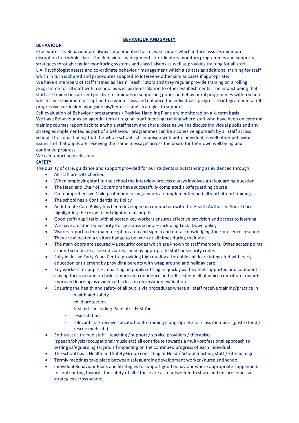#### **BEHAVIOUR AND SAFETY**

#### **BEHAVIOUR**

Procedures re: Behaviour are always implemented for relevant pupils which in turn assures minimum disruption to a whole class. The Behaviour management co-ordinators monitors programmes and supports strategies through regular monitoring systems and class liaisons as well as provides training for all staff. L.A. Psychologist assess and co-ordinate behaviour management which also acts as additional training for staff which in turn is shared and procedures adapted to intervene other similar cases if appropriate.

We have 4 members of staff trained as Team Teach Tutors and they regular provide training on a rolling programme for all staff within school as well as de-escalation to other establishments. The impact being that staff are trained in safe and positive techniques in supporting pupils on behavioural programmes within school which cause minimum disruption to a whole class and enhance the individuals' progress to integrate into a full progressive curriculum alongside his/her class and strategies to support.

Self evaluation of Behaviour programmes / Positive Handling Plans are monitored on a ½ term basis We have Behaviour as an agenda item at regular staff meeting training where staff who have been on external training courses report back to a whole staff team and share ideas as well as discuss individual pupils and any strategies implemented as part of a behaviour programmes can be a cohesive approach by all staff across school. The impact being that the whole school acts in unison with both individual as well other behaviour issues and that pupils are receiving the 'same message' across the board for their own well being and continued progress.

#### We can report no exclusions

# **SAFETY**

The quality of care, guidance and support provided for our students is outstanding as evidenced through :

- All staff are DBS checked
- When employing staff to the school the interview process always involves a safeguarding question
- The Head and Chair of Governors have successfully completed a Safeguarding course
- Our comprehensive Child protection arrangements are implemented and all staff attend training
- The school has a Confidentiality Policy
- An Intimate Care Policy has been developed in conjunction with the Health Authority (Social Care) highlighting the respect and dignity to all pupils
- Good staff/pupil ratio with allocated key workers ensures effective provision and access to learning
- We have an adhered Security Policy across school including Lock- Down policy
- Visitors report to the main reception area and sign in and out acknowledging their presence in school. They are allocated a visitors badge to be worn at all times during their visit
- The main doors are secured via security codes which are known to staff members. Other access points around school are accessed via keys held by appropriate staff or security codes
- Fully inclusive Early Years Centre providing high quality affordable childcare integrated with early education entitlement by providing parents with wrap around and holiday care.
- Key workers for pupils impacting on pupils settling in quickly as they feel supported and confident staying focussed and on task – improved confidence and self- esteem all of which contribute towards improved learning as evidenced in lesson observation evaluation
- Ensuring the health and safety of all pupils via procedures where all staff receive training/practice in :
	- health and safety
	- child protection
	- first aid including Paediatric First Aid
	- resuscitation
	- relevant staff receive specific health training if appropriate for class members (gastro feed / rescue meds etc)
- Enthusiastic trained staff teaching / support / service providers / therapists (speech/physio/occupational/music etc) all contribute towards a multi-professional approach to setting safeguarding targets all impacting on the continued progress of each individual
- The school has a Health and Safety Group consisting of Head / School teaching staff / Site manager
- Termly meetings take place between safeguarding development worker /nurse and school
- Individual Behaviour Plans and Strategies to support good behaviour where appropriate supplement to contributing towards the safety of all – these are also networked to share and ensure cohesive strategies across school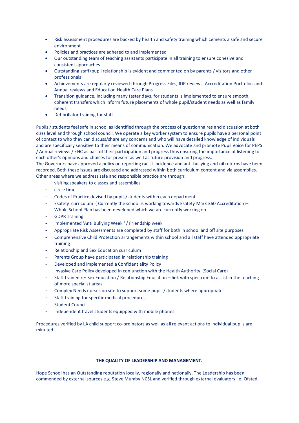- Risk assessment procedures are backed by health and safety training which cements a safe and secure environment
- Policies and practices are adhered to and implemented
- Our outstanding team of teaching assistants participate in all training to ensure cohesive and consistent approaches
- Outstanding staff/pupil relationship is evident and commented on by parents / visitors and other professionals
- Achievements are regularly reviewed through Progress Files, IDP reviews, Accreditation Portfolios and Annual reviews and Education Health Care Plans
- Transition guidance, including many taster days, for students is implemented to ensure smooth, coherent transfers which inform future placements of whole pupil/student needs as well as family needs
- Defibrillator training for staff

Pupils / students feel safe in school as identified through the process of questionnaires and discussion at both class level and through school council. We operate a key worker system to ensure pupils have a personal point of contact to who they can discuss/share any concerns and who will have detailed knowledge of individuals and are specifically sensitive to their means of communication. We advocate and promote Pupil Voice for PEPS / Annual reviews / EHC as part of their participation and progress thus ensuring the importance of listening to each other's opinions and choices for present as well as future provision and progress.

The Governors have approved a policy on reporting racist incidence and anti-bullying and nil returns have been recorded. Both these issues are discussed and addressed within both curriculum content and via assemblies. Other areas where we address safe and responsible practice are through:

- visiting speakers to classes and assemblies
- circle time
- Codes of Practice devised by pupils/students within each department
- Esafety curriculum ( Currently the school is working towards Esafety Mark 360 Accreditation)-Whole School Plan has been developed which we are currently working on.
- GDPR Training
- Implemented 'Anti Bullying Week ' / Friendship week
- Appropriate Risk Assessments are completed by staff for both in school and off site purposes
- Comprehensive Child Protection arrangements within school and all staff have attended appropriate training
- Relationship and Sex Education curriculum
- Parents Group have participated in relationship training
- Developed and implemented a Confidentiality Policy
- Invasive Care Policy developed in conjunction with the Health Authority (Social Care)
- Staff trained re: Sex Education / Relationship Education link with spectrum to assist in the teaching of more specialist areas
- Complex Needs nurses on site to support some pupils/students where appropriate
- Staff training for specific medical procedures
- **Student Council**
- Independent travel students equipped with mobile phones

Procedures verified by LA child support co-ordinators as well as all relevant actions to individual pupils are minuted.

# **THE QUALITY OF LEADERSHIP AND MANAGEMENT.**

Hope School has an Outstanding reputation locally, regionally and nationally. The Leadership has been commended by external sources e.g. Steve Mumby NCSL and verified through external evaluators i.e. Ofsted,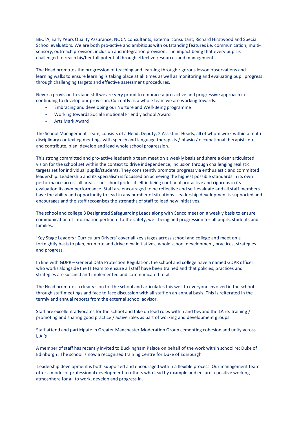BECTA, Early Years Quality Assurance, NOCN consultants, External consultant, Richard Hirstwood and Special School evaluators. We are both pro-active and ambitious with outstanding features i.e. communication, multisensory, outreach provision, inclusion and integration provision. The impact being that every pupil is challenged to reach his/her full potential through effective resources and management.

The Head promotes the progression of teaching and learning through rigorous lesson observations and learning walks to ensure learning is taking place at all times as well as monitoring and evaluating pupil progress through challenging targets and effective assessment procedures.

Never a provision to stand still we are very proud to embrace a pro-active and progressive approach in continuing to develop our provision. Currently as a whole team we are working towards:

- Embracing and developing our Nurture and Well-Being programme
- Working towards Social Emotional Friendly School Award
- Arts Mark Award

The School Management Team, consists of a Head, Deputy, 2 Assistant Heads, all of whom work within a multi disciplinary context eg meetings with speech and language therapists / physio / occupational therapists etc and contribute, plan, develop and lead whole school progression.

This strong committed and pro-active leadership team meet on a weekly basis and share a clear articulated vision for the school set within the context to drive independence, inclusion through challenging realistic targets set for individual pupils/students. They consistently promote progress via enthusiastic and committed leadership. Leadership and its specialism is focussed on achieving the highest possible standards in its own performance across all areas. The school prides itself in being continual pro-active and rigorous in its evaluation its own performance. Staff are encouraged to be reflective and self-evaluate and all staff members have the ability and opportunity to lead in any number of situations. Leadership development is supported and encourages and the staff recognises the strengths of staff to lead new initiatives.

The school and college 3 Designated Safeguarding Leads along with Senco meet on a weekly basis to ensure communication of information pertinent to the safety, well-being and progression for all pupils, students and families.

'Key Stage Leaders : Curriculum Drivers' cover all key stages across school and college and meet on a fortnightly basis to plan, promote and drive new initiatives, whole school development, practices, strategies and progress.

In line with GDPR – General Data Protection Regulation, the school and college have a named GDPR officer who works alongside the IT team to ensure all staff have been trained and that policies, practices and strategies are succinct and implemented and communicated to all.

The Head promotes a clear vision for the school and articulates this well to everyone involved in the school through staff meetings and face to face discussion with all staff on an annual basis. This is reiterated in the termly and annual reports from the external school advisor.

Staff are excellent advocates for the school and take on lead roles within and beyond the LA re: training / promoting and sharing good practice / active roles as part of working and development groups.

Staff attend and participate in Greater Manchester Moderation Group cementing cohesion and unity across L.A.'s

A member of staff has recently invited to Buckingham Palace on behalf of the work within school re: Duke of Edinburgh . The school is now a recognised training Centre for Duke of Edinburgh.

Leadership development is both supported and encouraged within a flexible process. Our management team offer a model of professional development to others who lead by example and ensure a positive working atmosphere for all to work, develop and progress in.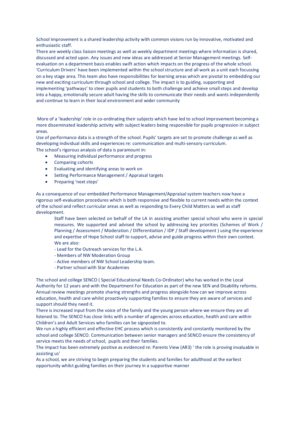School Improvement is a shared leadership activity with common visions run by innovative, motivated and enthusiastic staff.

There are weekly class liaison meetings as well as weekly department meetings where information is shared, discussed and acted upon. Any issues and new ideas are addressed at Senior Management meetings. Selfevaluation on a department basis enables swift action which impacts on the progress of the whole school. 'Curriculum Drivers' have been implemented within the school structure and all work as a unit each focussing on a key stage area. This team also have responsibilities for learning areas which are pivotal to embedding our new and exciting curriculum through school and college. The impact is to guiding, supporting and implementing 'pathways' to steer pupils and students to both challenge and achieve small steps and develop into a happy, emotionally secure adult having the skills to communicate their needs and wants independently and continue to learn in their local environment and wider community

More of a 'leadership' role in co-ordinating their subjects which have led to school improvement becoming a more disseminated leadership activity with subject leaders being responsible for pupils progression in subject areas.

Use of performance data is a strength of the school. Pupils' targets are set to promote challenge as well as developing individual skills and experiences re: communication and multi-sensory curriculum. The school's rigorous analysis of data is paramount in:

- Measuring individual performance and progress
- Comparing cohorts
- Evaluating and identifying areas to work on
- Setting Performance Management / Appraisal targets
- Preparing 'next steps'

As a consequence of our embedded Performance Management/Appraisal system teachers now have a rigorous self-evaluation procedures which is both responsive and flexible to current needs within the context of the school and reflect curricular areas as well as responding to Every Child Matters as well as staff development.

Staff have been selected on behalf of the LA in assisting another special school who were in special measures. We supported and advised the school by addressing key priorities (Schemes of Work / Planning / Assessment / Moderation / Differentiation / IDP / Staff development ) using the experience and expertise of Hope School staff to support, advise and guide progress within their own context. We are also:

- Lead for the Outreach services for the L.A.
- Members of NW Moderation Group
- Active members of NW School Leadership team.
- Partner school with Star Academies

The school and college SENCO ( Special Educational Needs Co-Ordinator) who has worked in the Local Authority for 12 years and with the Department For Education as part of the new SEN and Disability reforms. Annual review meetings promote sharing strengths and progress alongside how can we improve across education, health and care whilst proactively supporting families to ensure they are aware of services and support should they need it.

There is increased input from the voice of the family and the young person where we ensure they are all listened to. The SENCO has close links with a number of agencies across education, health and care within Children's and Adult Services who families can be signposted to.

We run a highly efficient and effective EHC process which is consistently and constantly monitored by the school and college SENCO. Communication between senior managers and SENCO ensure the consistency of service meets the needs of school, pupils and their families.

The impact has been extremely positive as evidenced re: Parents View (AR3) ' the role is proving invaluable in assisting us'

As a school, we are striving to begin preparing the students and families for adulthood at the earliest opportunity whilst guiding families on their journey in a supportive manner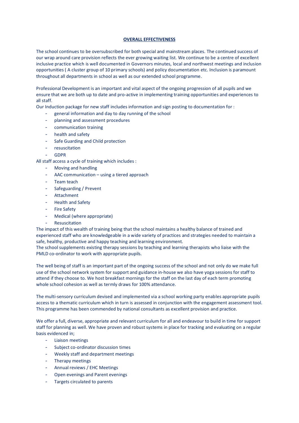### **OVERALL EFFECTIVENESS**

The school continues to be oversubscribed for both special and mainstream places. The continued success of our wrap around care provision reflects the ever growing waiting list. We continue to be a centre of excellent inclusive practice which is well documented in Governors minutes, local and northwest meetings and inclusion opportunities ( A cluster group of 10 primary schools) and policy documentation etc. Inclusion is paramount throughout all departments in school as well as our extended school programme.

Professional Development is an important and vital aspect of the ongoing progression of all pupils and we ensure that we are both up to date and pro-active in implementing training opportunities and experiences to all staff.

Our Induction package for new staff includes information and sign posting to documentation for :

- general information and day to day running of the school
- planning and assessment procedures
- communication training
- health and safety
- Safe Guarding and Child protection
- resuscitation
- GDPR

All staff access a cycle of training which includes :

- Moving and handling
- AAC communication using a tiered approach
- Team teach
- Safeguarding / Prevent
- Attachment
- Health and Safety
- **Fire Safety**
- Medical (where appropriate)
- **Resuscitation**

The impact of this wealth of training being that the school maintains a healthy balance of trained and experienced staff who are knowledgeable in a wide variety of practices and strategies needed to maintain a safe, healthy, productive and happy teaching and learning environment.

The school supplements existing therapy sessions by teaching and learning therapists who liaise with the PMLD co-ordinator to work with appropriate pupils.

The well being of staff is an important part of the ongoing success of the school and not only do we make full use of the school network system for support and guidance in-house we also have yoga sessions for staff to attend if they choose to. We host breakfast mornings for the staff on the last day of each term promoting whole school cohesion as well as termly draws for 100% attendance.

The multi-sensory curriculum devised and implemented via a school working party enables appropriate pupils access to a thematic curriculum which in turn is assessed in conjunction with the engagement assessment tool. This programme has been commended by national consultants as excellent provision and practice.

We offer a full, diverse, appropriate and relevant curriculum for all and endeavour to build in time for support staff for planning as well. We have proven and robust systems in place for tracking and evaluating on a regular basis evidenced in;

- Liaison meetings
- Subject co-ordinator discussion times
- Weekly staff and department meetings
- Therapy meetings
- Annual reviews / EHC Meetings
- Open evenings and Parent evenings
- Targets circulated to parents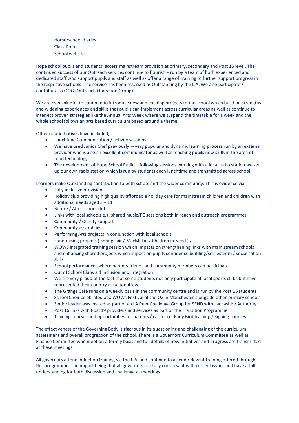- Home/school diaries
- Class Dojo
- School website

Hope school pupils and students' access mainstream provision at primary, secondary and Post 16 level. The continued success of our Outreach services continue to flourish – run by a team of both experienced and dedicated staff who support pupils and staff as well as offer a range of training to further support progress in the respective schools. The service has been assessed as Outstanding by the L.A. We also participate / contribute to OOG (Outreach Operation Group)

We are ever mindful to continue to introduce new and exciting projects to the school which build on strengths and widening experiences and skills that pupils can implement across curricular areas as well as continue to interject proven strategies like the Annual Arts Week where we suspend the timetable for a week and the whole school follows an arts based curriculum based around a theme.

Other new initiatives have included;

- Lunchtime Communication / activity sessions.
- We have used Junior Chef previously very popular and dynamic learning process run by an external provider who is also an excellent communicator as well as teaching pupils new skills in the area of food technology
- The development of Hope School Radio following sessions working with a local radio station we set up our own radio station which is run by students each lunchtime and transmitted across school.

Learners make Outstanding contribution to both school and the wider community. This is evidence via:

- Fully inclusive provision
- Holiday club providing high quality affordable holiday care for mainstream children and children with additional needs aged 3 – 11
- Before / After school clubs
- Links with local schools e.g. shared music/PE sessions both in reach and outreach programmes
- Community / Charity support
- Community assemblies
- Performing Arts projects in conjunction with local schools
- Fund raising projects ( Spring Fair / MacMillan / Children in Need ) /
- WOWS integrated training session which impacts on strengthening links with main stream schools and enhancing shared projects which impact on pupils confidence building/self-esteem / socialisation skills
- School performances where parents friends and community members can participate
- Out of School Clubs aid inclusion and integration
- We are very proud of the fact that some students not only participate at local sports clubs but have represented their country at national level.
- The Grange Café runs on a weekly basis in the community centre and is run by the Post 16 students
- School Choir celebrated at a WOWs Festival at the O2 in Manchester alongside other primary schools
- Senior leader was invited as part of an LA Peer Challenge Group for SEND with Lancashire Authority.
- Post 16 links with Post 19 providers and services as part of the Transition Programme
- Training courses and opportunities for parents / carers i.e. Early Bird training / Signing courses

The effectiveness of the Governing Body is rigorous in its questioning and challenging of the curriculum, assessment and overall progression of the school. There is a Governors Curriculum Committee as well as Finance Committee who meet on a termly basis and full details of new initiatives and progress are transmitted at these meetings.

All governors attend induction training via the L.A. and continue to attend relevant training offered through this programme. The impact being that all governors are fully conversant with current issues and have a full understanding for both discussion and challenge at meetings.